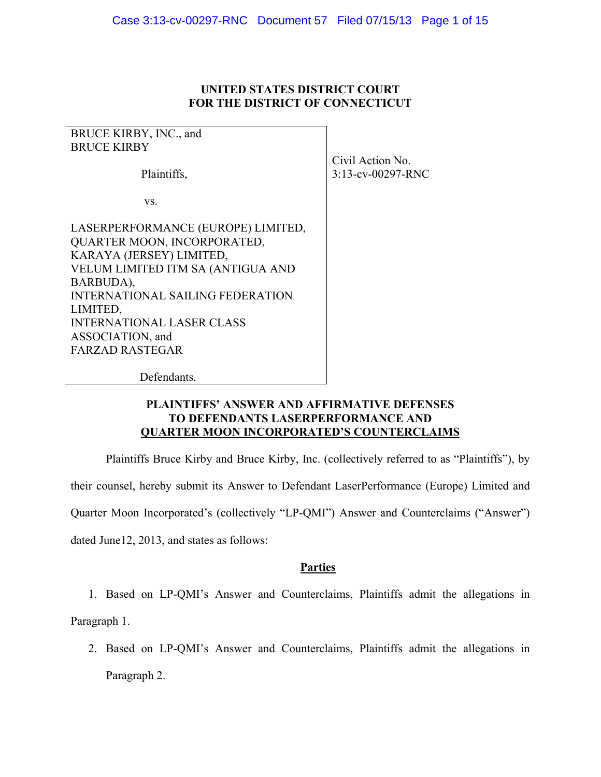### **UNITED STATES DISTRICT COURT FOR THE DISTRICT OF CONNECTICUT**

BRUCE KIRBY, INC., and BRUCE KIRBY Plaintiffs, vs. LASERPERFORMANCE (EUROPE) LIMITED, QUARTER MOON, INCORPORATED, KARAYA (JERSEY) LIMITED, VELUM LIMITED ITM SA (ANTIGUA AND BARBUDA), INTERNATIONAL SAILING FEDERATION LIMITED, INTERNATIONAL LASER CLASS ASSOCIATION, and FARZAD RASTEGAR

Civil Action No. 3:13-cv-00297-RNC

Defendants.

### **PLAINTIFFS' ANSWER AND AFFIRMATIVE DEFENSES TO DEFENDANTS LASERPERFORMANCE AND QUARTER MOON INCORPORATED'S COUNTERCLAIMS**

Plaintiffs Bruce Kirby and Bruce Kirby, Inc. (collectively referred to as "Plaintiffs"), by their counsel, hereby submit its Answer to Defendant LaserPerformance (Europe) Limited and Quarter Moon Incorporated's (collectively "LP-QMI") Answer and Counterclaims ("Answer") dated June12, 2013, and states as follows:

### **Parties**

1. Based on LP-QMI's Answer and Counterclaims, Plaintiffs admit the allegations in Paragraph 1.

2. Based on LP-QMI's Answer and Counterclaims, Plaintiffs admit the allegations in Paragraph 2.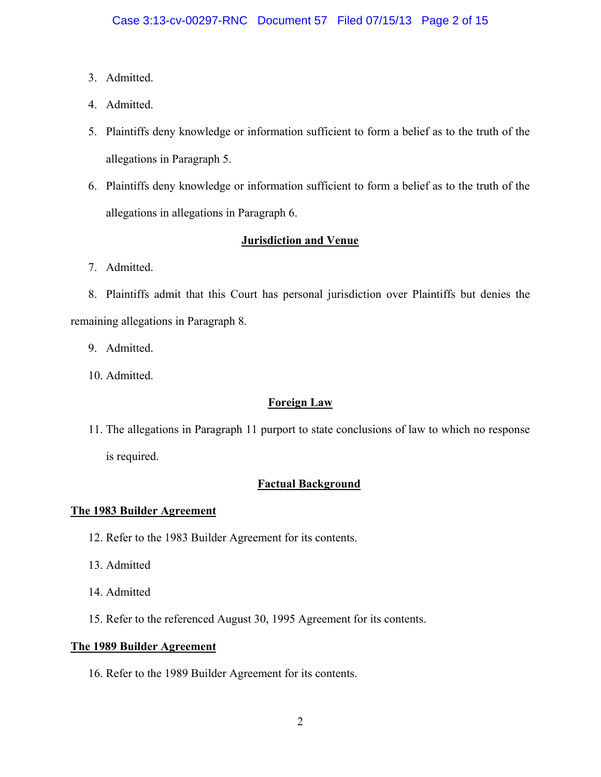- 3. Admitted.
- 4. Admitted.
- 5. Plaintiffs deny knowledge or information sufficient to form a belief as to the truth of the allegations in Paragraph 5.
- 6. Plaintiffs deny knowledge or information sufficient to form a belief as to the truth of the allegations in allegations in Paragraph 6.

# **Jurisdiction and Venue**

7. Admitted.

8. Plaintiffs admit that this Court has personal jurisdiction over Plaintiffs but denies the remaining allegations in Paragraph 8.

- 9. Admitted.
- 10. Admitted.

## **Foreign Law**

11. The allegations in Paragraph 11 purport to state conclusions of law to which no response is required.

## **Factual Background**

### **The 1983 Builder Agreement**

- 12. Refer to the 1983 Builder Agreement for its contents.
- 13. Admitted
- 14. Admitted
- 15. Refer to the referenced August 30, 1995 Agreement for its contents.

### **The 1989 Builder Agreement**

16. Refer to the 1989 Builder Agreement for its contents.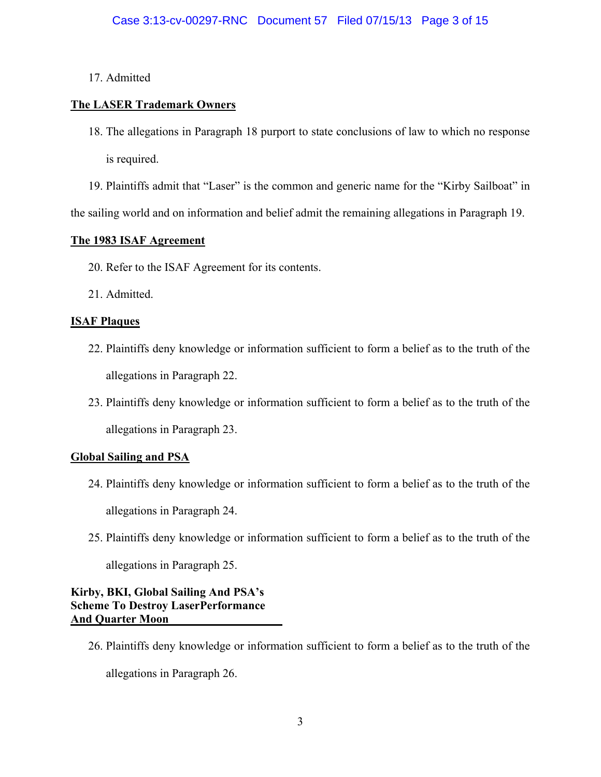## 17. Admitted

# **The LASER Trademark Owners**

18. The allegations in Paragraph 18 purport to state conclusions of law to which no response is required.

19. Plaintiffs admit that "Laser" is the common and generic name for the "Kirby Sailboat" in the sailing world and on information and belief admit the remaining allegations in Paragraph 19.

## **The 1983 ISAF Agreement**

- 20. Refer to the ISAF Agreement for its contents.
- 21. Admitted.

## **ISAF Plaques**

- 22. Plaintiffs deny knowledge or information sufficient to form a belief as to the truth of the allegations in Paragraph 22.
- 23. Plaintiffs deny knowledge or information sufficient to form a belief as to the truth of the allegations in Paragraph 23.

# **Global Sailing and PSA**

- 24. Plaintiffs deny knowledge or information sufficient to form a belief as to the truth of the allegations in Paragraph 24.
- 25. Plaintiffs deny knowledge or information sufficient to form a belief as to the truth of the allegations in Paragraph 25.

**Kirby, BKI, Global Sailing And PSA's Scheme To Destroy LaserPerformance And Quarter Moon** 

26. Plaintiffs deny knowledge or information sufficient to form a belief as to the truth of the

allegations in Paragraph 26.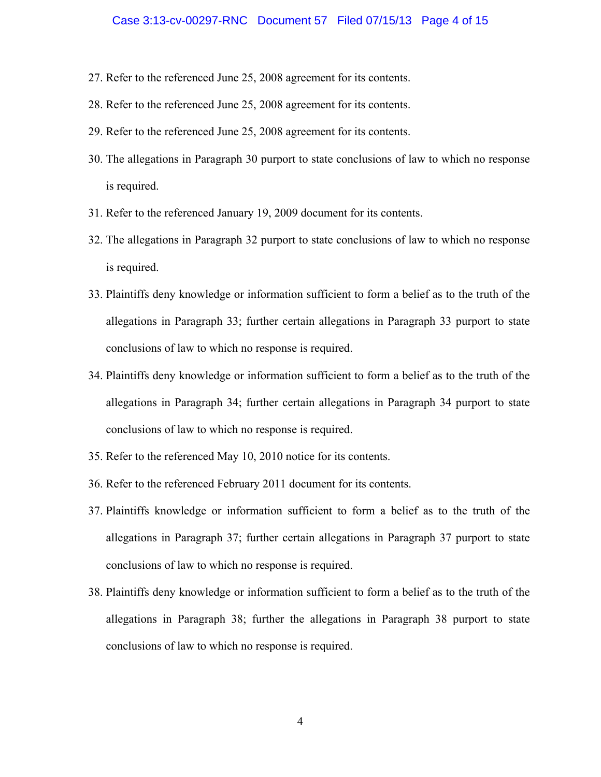#### Case 3:13-cv-00297-RNC Document 57 Filed 07/15/13 Page 4 of 15

- 27. Refer to the referenced June 25, 2008 agreement for its contents.
- 28. Refer to the referenced June 25, 2008 agreement for its contents.
- 29. Refer to the referenced June 25, 2008 agreement for its contents.
- 30. The allegations in Paragraph 30 purport to state conclusions of law to which no response is required.
- 31. Refer to the referenced January 19, 2009 document for its contents.
- 32. The allegations in Paragraph 32 purport to state conclusions of law to which no response is required.
- 33. Plaintiffs deny knowledge or information sufficient to form a belief as to the truth of the allegations in Paragraph 33; further certain allegations in Paragraph 33 purport to state conclusions of law to which no response is required.
- 34. Plaintiffs deny knowledge or information sufficient to form a belief as to the truth of the allegations in Paragraph 34; further certain allegations in Paragraph 34 purport to state conclusions of law to which no response is required.
- 35. Refer to the referenced May 10, 2010 notice for its contents.
- 36. Refer to the referenced February 2011 document for its contents.
- 37. Plaintiffs knowledge or information sufficient to form a belief as to the truth of the allegations in Paragraph 37; further certain allegations in Paragraph 37 purport to state conclusions of law to which no response is required.
- 38. Plaintiffs deny knowledge or information sufficient to form a belief as to the truth of the allegations in Paragraph 38; further the allegations in Paragraph 38 purport to state conclusions of law to which no response is required.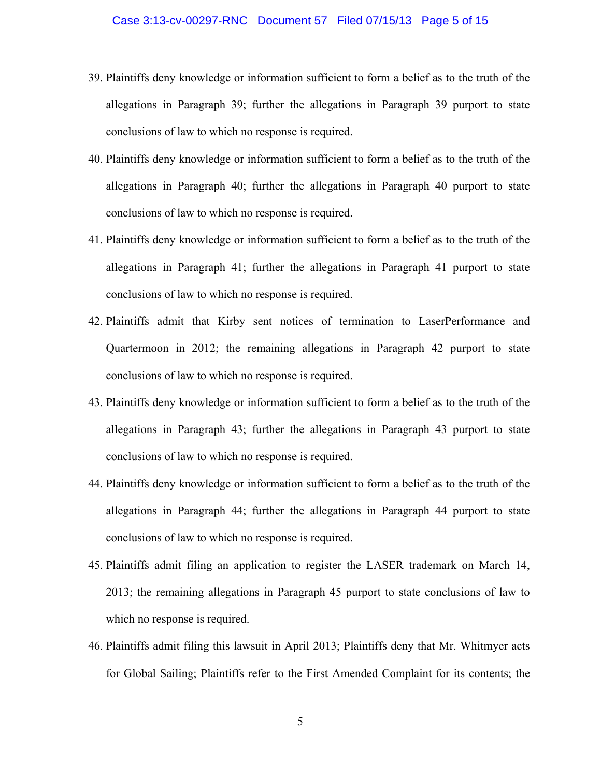- 39. Plaintiffs deny knowledge or information sufficient to form a belief as to the truth of the allegations in Paragraph 39; further the allegations in Paragraph 39 purport to state conclusions of law to which no response is required.
- 40. Plaintiffs deny knowledge or information sufficient to form a belief as to the truth of the allegations in Paragraph 40; further the allegations in Paragraph 40 purport to state conclusions of law to which no response is required.
- 41. Plaintiffs deny knowledge or information sufficient to form a belief as to the truth of the allegations in Paragraph 41; further the allegations in Paragraph 41 purport to state conclusions of law to which no response is required.
- 42. Plaintiffs admit that Kirby sent notices of termination to LaserPerformance and Quartermoon in 2012; the remaining allegations in Paragraph 42 purport to state conclusions of law to which no response is required.
- 43. Plaintiffs deny knowledge or information sufficient to form a belief as to the truth of the allegations in Paragraph 43; further the allegations in Paragraph 43 purport to state conclusions of law to which no response is required.
- 44. Plaintiffs deny knowledge or information sufficient to form a belief as to the truth of the allegations in Paragraph 44; further the allegations in Paragraph 44 purport to state conclusions of law to which no response is required.
- 45. Plaintiffs admit filing an application to register the LASER trademark on March 14, 2013; the remaining allegations in Paragraph 45 purport to state conclusions of law to which no response is required.
- 46. Plaintiffs admit filing this lawsuit in April 2013; Plaintiffs deny that Mr. Whitmyer acts for Global Sailing; Plaintiffs refer to the First Amended Complaint for its contents; the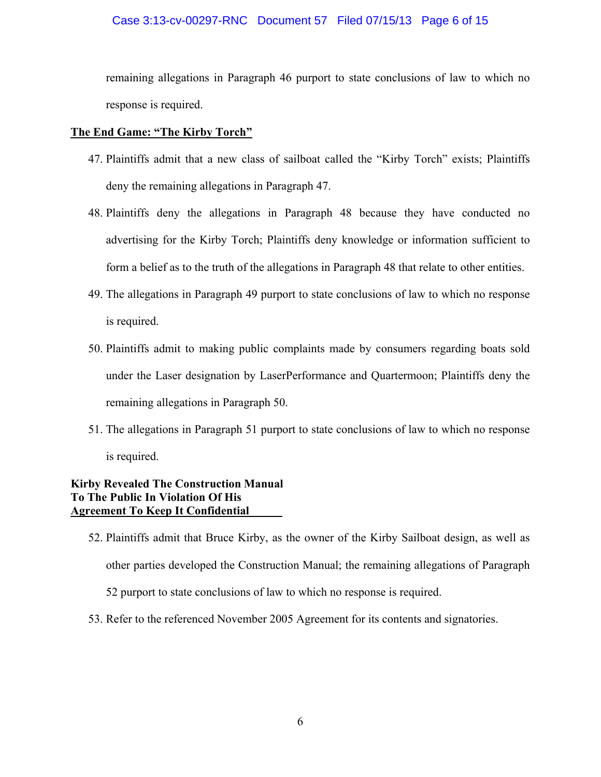### Case 3:13-cv-00297-RNC Document 57 Filed 07/15/13 Page 6 of 15

remaining allegations in Paragraph 46 purport to state conclusions of law to which no response is required.

### **The End Game: "The Kirby Torch"**

- 47. Plaintiffs admit that a new class of sailboat called the "Kirby Torch" exists; Plaintiffs deny the remaining allegations in Paragraph 47.
- 48. Plaintiffs deny the allegations in Paragraph 48 because they have conducted no advertising for the Kirby Torch; Plaintiffs deny knowledge or information sufficient to form a belief as to the truth of the allegations in Paragraph 48 that relate to other entities.
- 49. The allegations in Paragraph 49 purport to state conclusions of law to which no response is required.
- 50. Plaintiffs admit to making public complaints made by consumers regarding boats sold under the Laser designation by LaserPerformance and Quartermoon; Plaintiffs deny the remaining allegations in Paragraph 50.
- 51. The allegations in Paragraph 51 purport to state conclusions of law to which no response is required.

## **Kirby Revealed The Construction Manual To The Public In Violation Of His Agreement To Keep It Confidential**

- 52. Plaintiffs admit that Bruce Kirby, as the owner of the Kirby Sailboat design, as well as other parties developed the Construction Manual; the remaining allegations of Paragraph 52 purport to state conclusions of law to which no response is required.
- 53. Refer to the referenced November 2005 Agreement for its contents and signatories.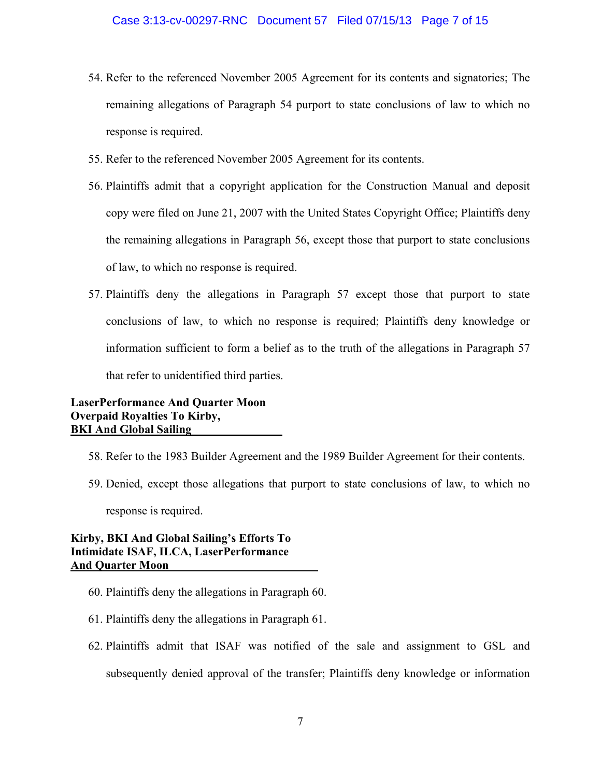- 54. Refer to the referenced November 2005 Agreement for its contents and signatories; The remaining allegations of Paragraph 54 purport to state conclusions of law to which no response is required.
- 55. Refer to the referenced November 2005 Agreement for its contents.
- 56. Plaintiffs admit that a copyright application for the Construction Manual and deposit copy were filed on June 21, 2007 with the United States Copyright Office; Plaintiffs deny the remaining allegations in Paragraph 56, except those that purport to state conclusions of law, to which no response is required.
- 57. Plaintiffs deny the allegations in Paragraph 57 except those that purport to state conclusions of law, to which no response is required; Plaintiffs deny knowledge or information sufficient to form a belief as to the truth of the allegations in Paragraph 57 that refer to unidentified third parties.

**LaserPerformance And Quarter Moon Overpaid Royalties To Kirby, BKI And Global Sailing** 

- 58. Refer to the 1983 Builder Agreement and the 1989 Builder Agreement for their contents.
- 59. Denied, except those allegations that purport to state conclusions of law, to which no response is required.

**Kirby, BKI And Global Sailing's Efforts To Intimidate ISAF, ILCA, LaserPerformance And Quarter Moon** 

- 60. Plaintiffs deny the allegations in Paragraph 60.
- 61. Plaintiffs deny the allegations in Paragraph 61.
- 62. Plaintiffs admit that ISAF was notified of the sale and assignment to GSL and subsequently denied approval of the transfer; Plaintiffs deny knowledge or information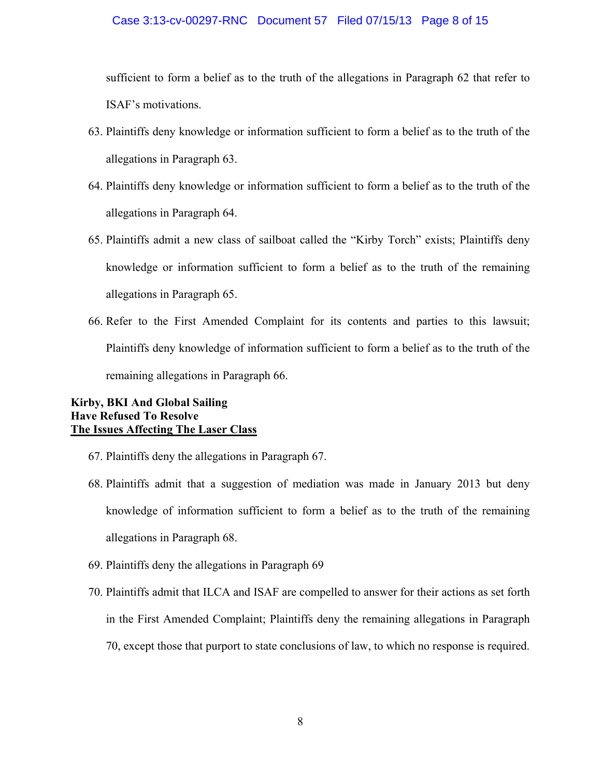#### Case 3:13-cv-00297-RNC Document 57 Filed 07/15/13 Page 8 of 15

sufficient to form a belief as to the truth of the allegations in Paragraph 62 that refer to ISAF's motivations.

- 63. Plaintiffs deny knowledge or information sufficient to form a belief as to the truth of the allegations in Paragraph 63.
- 64. Plaintiffs deny knowledge or information sufficient to form a belief as to the truth of the allegations in Paragraph 64.
- 65. Plaintiffs admit a new class of sailboat called the "Kirby Torch" exists; Plaintiffs deny knowledge or information sufficient to form a belief as to the truth of the remaining allegations in Paragraph 65.
- 66. Refer to the First Amended Complaint for its contents and parties to this lawsuit; Plaintiffs deny knowledge of information sufficient to form a belief as to the truth of the remaining allegations in Paragraph 66.

### **Kirby, BKI And Global Sailing Have Refused To Resolve The Issues Affecting The Laser Class**

- 67. Plaintiffs deny the allegations in Paragraph 67.
- 68. Plaintiffs admit that a suggestion of mediation was made in January 2013 but deny knowledge of information sufficient to form a belief as to the truth of the remaining allegations in Paragraph 68.
- 69. Plaintiffs deny the allegations in Paragraph 69
- 70. Plaintiffs admit that ILCA and ISAF are compelled to answer for their actions as set forth in the First Amended Complaint; Plaintiffs deny the remaining allegations in Paragraph 70, except those that purport to state conclusions of law, to which no response is required.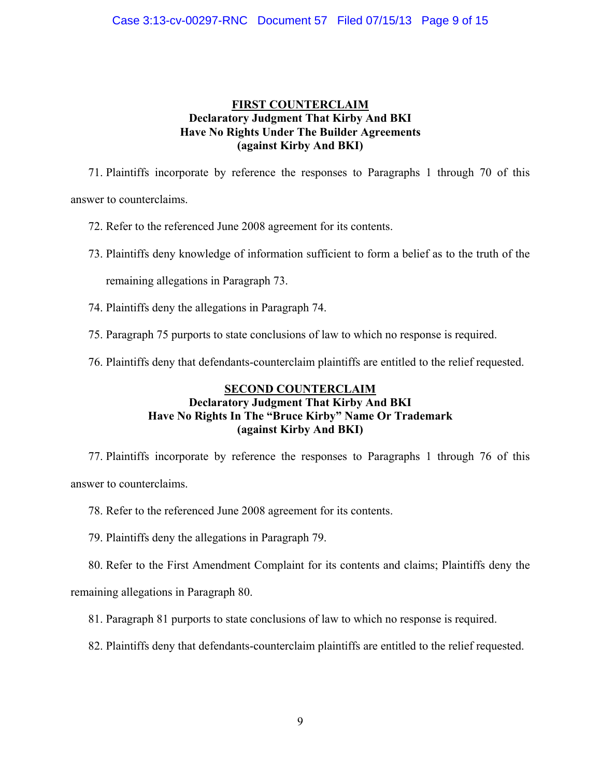### **FIRST COUNTERCLAIM Declaratory Judgment That Kirby And BKI Have No Rights Under The Builder Agreements (against Kirby And BKI)**

71. Plaintiffs incorporate by reference the responses to Paragraphs 1 through 70 of this answer to counterclaims.

72. Refer to the referenced June 2008 agreement for its contents.

73. Plaintiffs deny knowledge of information sufficient to form a belief as to the truth of the

remaining allegations in Paragraph 73.

74. Plaintiffs deny the allegations in Paragraph 74.

- 75. Paragraph 75 purports to state conclusions of law to which no response is required.
- 76. Plaintiffs deny that defendants-counterclaim plaintiffs are entitled to the relief requested.

## **SECOND COUNTERCLAIM Declaratory Judgment That Kirby And BKI Have No Rights In The "Bruce Kirby" Name Or Trademark (against Kirby And BKI)**

77. Plaintiffs incorporate by reference the responses to Paragraphs 1 through 76 of this answer to counterclaims.

- 78. Refer to the referenced June 2008 agreement for its contents.
- 79. Plaintiffs deny the allegations in Paragraph 79.

80. Refer to the First Amendment Complaint for its contents and claims; Plaintiffs deny the

remaining allegations in Paragraph 80.

- 81. Paragraph 81 purports to state conclusions of law to which no response is required.
- 82. Plaintiffs deny that defendants-counterclaim plaintiffs are entitled to the relief requested.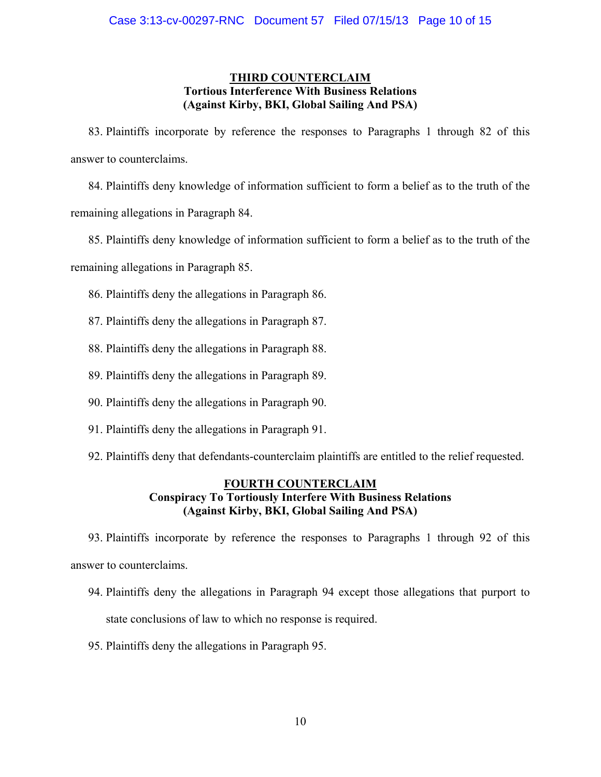### **THIRD COUNTERCLAIM Tortious Interference With Business Relations (Against Kirby, BKI, Global Sailing And PSA)**

83. Plaintiffs incorporate by reference the responses to Paragraphs 1 through 82 of this answer to counterclaims.

84. Plaintiffs deny knowledge of information sufficient to form a belief as to the truth of the remaining allegations in Paragraph 84.

85. Plaintiffs deny knowledge of information sufficient to form a belief as to the truth of the

remaining allegations in Paragraph 85.

- 86. Plaintiffs deny the allegations in Paragraph 86.
- 87. Plaintiffs deny the allegations in Paragraph 87.
- 88. Plaintiffs deny the allegations in Paragraph 88.
- 89. Plaintiffs deny the allegations in Paragraph 89.
- 90. Plaintiffs deny the allegations in Paragraph 90.
- 91. Plaintiffs deny the allegations in Paragraph 91.
- 92. Plaintiffs deny that defendants-counterclaim plaintiffs are entitled to the relief requested.

### **FOURTH COUNTERCLAIM Conspiracy To Tortiously Interfere With Business Relations (Against Kirby, BKI, Global Sailing And PSA)**

93. Plaintiffs incorporate by reference the responses to Paragraphs 1 through 92 of this answer to counterclaims.

- 94. Plaintiffs deny the allegations in Paragraph 94 except those allegations that purport to state conclusions of law to which no response is required.
- 95. Plaintiffs deny the allegations in Paragraph 95.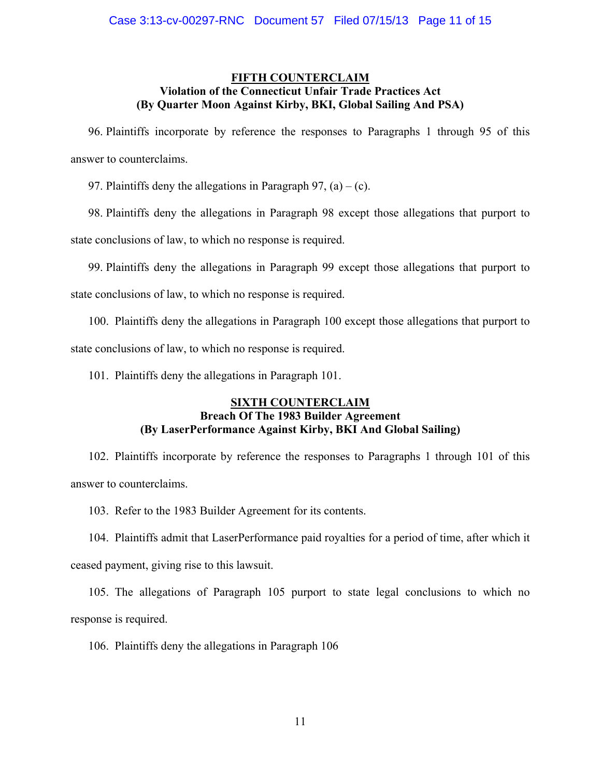#### **FIFTH COUNTERCLAIM Violation of the Connecticut Unfair Trade Practices Act (By Quarter Moon Against Kirby, BKI, Global Sailing And PSA)**

96. Plaintiffs incorporate by reference the responses to Paragraphs 1 through 95 of this answer to counterclaims.

97. Plaintiffs deny the allegations in Paragraph 97,  $(a) - (c)$ .

98. Plaintiffs deny the allegations in Paragraph 98 except those allegations that purport to state conclusions of law, to which no response is required.

99. Plaintiffs deny the allegations in Paragraph 99 except those allegations that purport to state conclusions of law, to which no response is required.

100. Plaintiffs deny the allegations in Paragraph 100 except those allegations that purport to state conclusions of law, to which no response is required.

101. Plaintiffs deny the allegations in Paragraph 101.

### **SIXTH COUNTERCLAIM Breach Of The 1983 Builder Agreement (By LaserPerformance Against Kirby, BKI And Global Sailing)**

102. Plaintiffs incorporate by reference the responses to Paragraphs 1 through 101 of this answer to counterclaims.

103. Refer to the 1983 Builder Agreement for its contents.

104. Plaintiffs admit that LaserPerformance paid royalties for a period of time, after which it ceased payment, giving rise to this lawsuit.

105. The allegations of Paragraph 105 purport to state legal conclusions to which no response is required.

106. Plaintiffs deny the allegations in Paragraph 106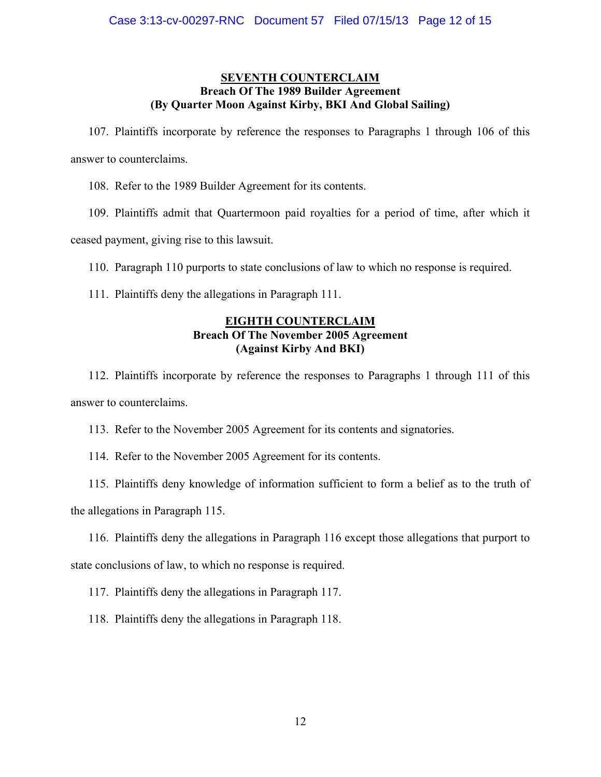### **SEVENTH COUNTERCLAIM Breach Of The 1989 Builder Agreement (By Quarter Moon Against Kirby, BKI And Global Sailing)**

107. Plaintiffs incorporate by reference the responses to Paragraphs 1 through 106 of this answer to counterclaims.

108. Refer to the 1989 Builder Agreement for its contents.

109. Plaintiffs admit that Quartermoon paid royalties for a period of time, after which it ceased payment, giving rise to this lawsuit.

110. Paragraph 110 purports to state conclusions of law to which no response is required.

111. Plaintiffs deny the allegations in Paragraph 111.

### **EIGHTH COUNTERCLAIM Breach Of The November 2005 Agreement (Against Kirby And BKI)**

112. Plaintiffs incorporate by reference the responses to Paragraphs 1 through 111 of this answer to counterclaims.

113. Refer to the November 2005 Agreement for its contents and signatories.

114. Refer to the November 2005 Agreement for its contents.

115. Plaintiffs deny knowledge of information sufficient to form a belief as to the truth of the allegations in Paragraph 115.

116. Plaintiffs deny the allegations in Paragraph 116 except those allegations that purport to state conclusions of law, to which no response is required.

117. Plaintiffs deny the allegations in Paragraph 117.

118. Plaintiffs deny the allegations in Paragraph 118.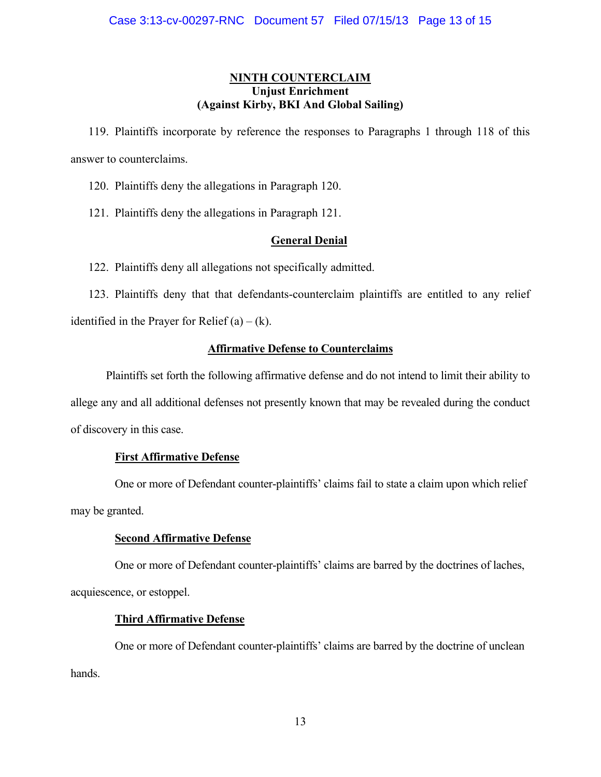### **NINTH COUNTERCLAIM Unjust Enrichment (Against Kirby, BKI And Global Sailing)**

119. Plaintiffs incorporate by reference the responses to Paragraphs 1 through 118 of this answer to counterclaims.

120. Plaintiffs deny the allegations in Paragraph 120.

121. Plaintiffs deny the allegations in Paragraph 121.

### **General Denial**

122. Plaintiffs deny all allegations not specifically admitted.

123. Plaintiffs deny that that defendants-counterclaim plaintiffs are entitled to any relief identified in the Prayer for Relief  $(a) - (k)$ .

### **Affirmative Defense to Counterclaims**

 Plaintiffs set forth the following affirmative defense and do not intend to limit their ability to allege any and all additional defenses not presently known that may be revealed during the conduct of discovery in this case.

### **First Affirmative Defense**

 One or more of Defendant counter-plaintiffs' claims fail to state a claim upon which relief may be granted.

### **Second Affirmative Defense**

 One or more of Defendant counter-plaintiffs' claims are barred by the doctrines of laches, acquiescence, or estoppel.

### **Third Affirmative Defense**

 One or more of Defendant counter-plaintiffs' claims are barred by the doctrine of unclean hands.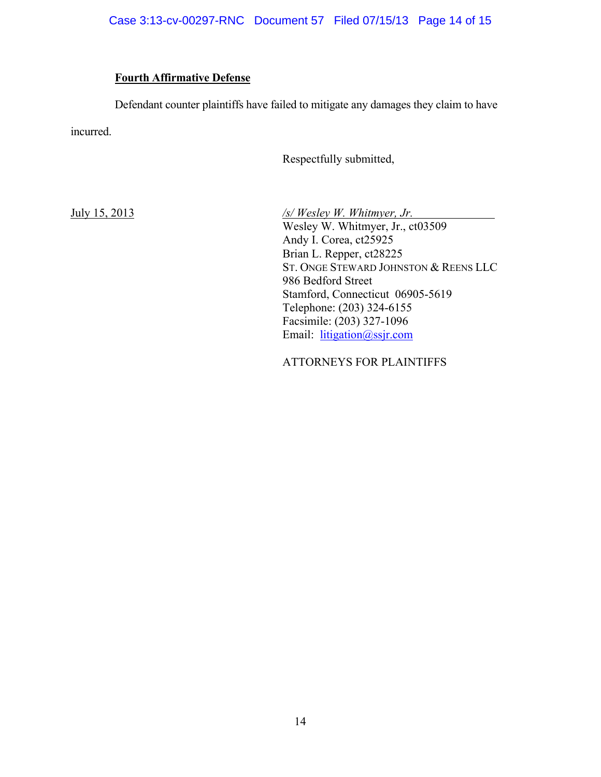### **Fourth Affirmative Defense**

 Defendant counter plaintiffs have failed to mitigate any damages they claim to have incurred.

Respectfully submitted,

July 15, 2013 */s/ Wesley W. Whitmyer, Jr.*  Wesley W. Whitmyer, Jr., ct03509 Andy I. Corea, ct25925 Brian L. Repper, ct28225 ST. ONGE STEWARD JOHNSTON & REENS LLC 986 Bedford Street Stamford, Connecticut 06905-5619 Telephone: (203) 324-6155 Facsimile: (203) 327-1096 Email: litigation@ssjr.com

ATTORNEYS FOR PLAINTIFFS